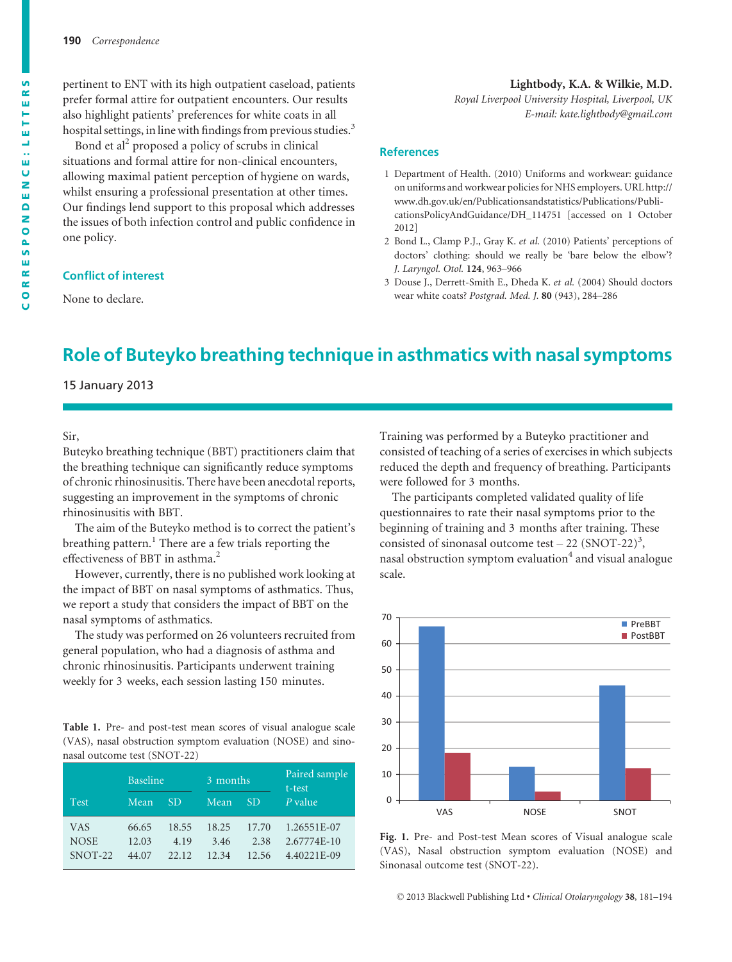pertinent to ENT with its high outpatient caseload, patients prefer formal attire for outpatient encounters. Our results also highlight patients' preferences for white coats in all hospital settings, in line with findings from previous studies.<sup>3</sup>

Bond et al<sup>2</sup> proposed a policy of scrubs in clinical situations and formal attire for non-clinical encounters, allowing maximal patient perception of hygiene on wards, whilst ensuring a professional presentation at other times. Our findings lend support to this proposal which addresses the issues of both infection control and public confidence in one policy.

#### Conflict of interest

None to declare.

#### Lightbody, K.A. & Wilkie, M.D.

Royal Liverpool University Hospital, Liverpool, UK E-mail: kate.lightbody@gmail.com

#### References

- 1 Department of Health. (2010) Uniforms and workwear: guidance on uniforms and workwear policies for NHS employers. URL http:// www.dh.gov.uk/en/Publicationsandstatistics/Publications/PublicationsPolicyAndGuidance/DH\_114751 [accessed on 1 October 2012]
- 2 Bond L., Clamp P.J., Gray K. et al. (2010) Patients' perceptions of doctors' clothing: should we really be 'bare below the elbow'? J. Laryngol. Otol. 124, 963–966
- 3 Douse J., Derrett-Smith E., Dheda K. et al. (2004) Should doctors wear white coats? Postgrad. Med. J. 80 (943), 284–286

# Role of Buteyko breathing technique in asthmatics with nasal symptoms

## 15 January 2013

#### Sir,

Buteyko breathing technique (BBT) practitioners claim that the breathing technique can significantly reduce symptoms of chronic rhinosinusitis. There have been anecdotal reports, suggesting an improvement in the symptoms of chronic rhinosinusitis with BBT.

The aim of the Buteyko method is to correct the patient's breathing pattern.<sup>1</sup> There are a few trials reporting the effectiveness of BBT in asthma.<sup>2</sup>

However, currently, there is no published work looking at the impact of BBT on nasal symptoms of asthmatics. Thus, we report a study that considers the impact of BBT on the nasal symptoms of asthmatics.

The study was performed on 26 volunteers recruited from general population, who had a diagnosis of asthma and chronic rhinosinusitis. Participants underwent training weekly for 3 weeks, each session lasting 150 minutes.

Table 1. Pre- and post-test mean scores of visual analogue scale (VAS), nasal obstruction symptom evaluation (NOSE) and sinonasal outcome test (SNOT-22)

|                               | <b>Baseline</b>         |                        | 3 months               |                        | Paired sample<br>t-test                   |
|-------------------------------|-------------------------|------------------------|------------------------|------------------------|-------------------------------------------|
| <b>Test</b>                   | Mean                    | <b>SD</b>              | Mean                   | <b>SD</b>              | $P$ value                                 |
| VAS<br><b>NOSE</b><br>SNOT-22 | 66.65<br>12.03<br>44.07 | 18.55<br>4.19<br>22.12 | 18.25<br>3.46<br>12 34 | 17.70<br>2.38<br>12.56 | 1.26551E-07<br>2.67774E-10<br>4.40221E-09 |

Training was performed by a Buteyko practitioner and consisted of teaching of a series of exercises in which subjects reduced the depth and frequency of breathing. Participants were followed for 3 months.

The participants completed validated quality of life questionnaires to rate their nasal symptoms prior to the beginning of training and 3 months after training. These consisted of sinonasal outcome test  $-22$  (SNOT-22)<sup>3</sup>, nasal obstruction symptom evaluation $4$  and visual analogue scale.



Fig. 1. Pre- and Post-test Mean scores of Visual analogue scale (VAS), Nasal obstruction symptom evaluation (NOSE) and Sinonasal outcome test (SNOT-22).